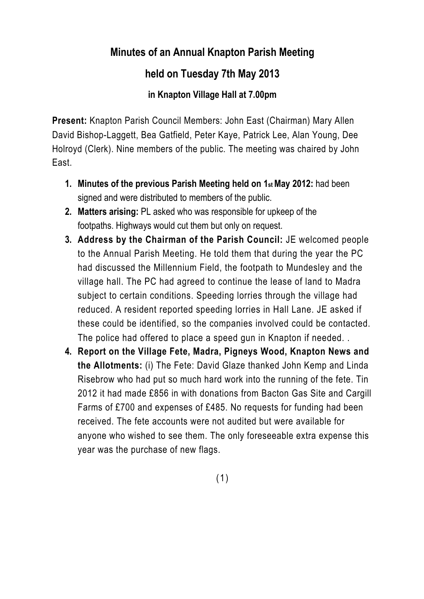## **Minutes of an Annual Knapton Parish Meeting**

## **held on Tuesday 7th May 2013**

## **in Knapton Village Hall at 7.00pm**

**Present:** Knapton Parish Council Members: John East (Chairman) Mary Allen David Bishop-Laggett, Bea Gatfield, Peter Kaye, Patrick Lee, Alan Young, Dee Holroyd (Clerk). Nine members of the public. The meeting was chaired by John East.

- **1. Minutes of the previous Parish Meeting held on 1st May 2012:** had been signed and were distributed to members of the public.
- **2. Matters arising:** PL asked who was responsible for upkeep of the footpaths. Highways would cut them but only on request.
- **3. Address by the Chairman of the Parish Council:** JE welcomed people to the Annual Parish Meeting. He told them that during the year the PC had discussed the Millennium Field, the footpath to Mundesley and the village hall. The PC had agreed to continue the lease of land to Madra subject to certain conditions. Speeding lorries through the village had reduced. A resident reported speeding lorries in Hall Lane. JE asked if these could be identified, so the companies involved could be contacted. The police had offered to place a speed gun in Knapton if needed. .
- **4. Report on the Village Fete, Madra, Pigneys Wood, Knapton News and the Allotments:** (i) The Fete: David Glaze thanked John Kemp and Linda Risebrow who had put so much hard work into the running of the fete. Tin 2012 it had made £856 in with donations from Bacton Gas Site and Cargill Farms of £700 and expenses of £485. No requests for funding had been received. The fete accounts were not audited but were available for anyone who wished to see them. The only foreseeable extra expense this year was the purchase of new flags.

(1)